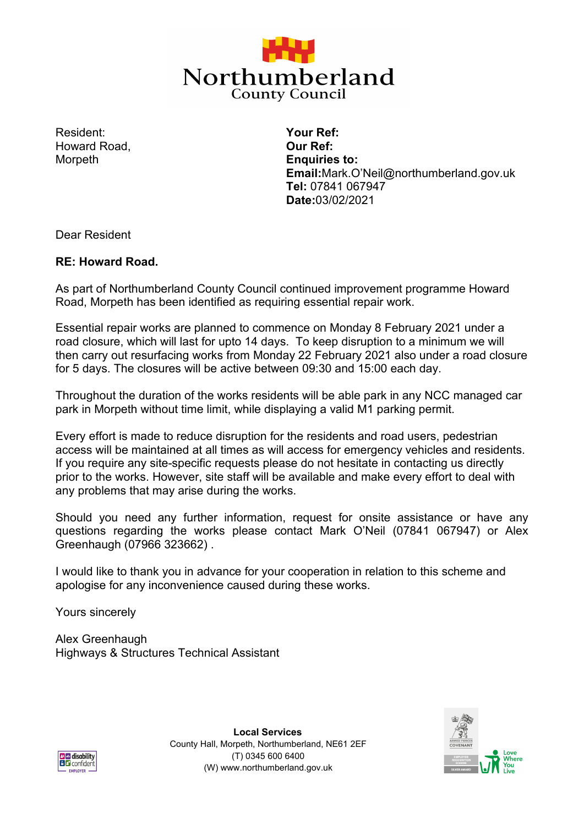

Resident: Howard Road, **Morpeth** 

**Your Ref: Our Ref: Enquiries to: Email:**Mark.O'Neil@northumberland.gov.uk **Tel:** 07841 067947 **Date:**03/02/2021

Dear Resident

## **RE: Howard Road.**

As part of Northumberland County Council continued improvement programme Howard Road, Morpeth has been identified as requiring essential repair work.

Essential repair works are planned to commence on Monday 8 February 2021 under a road closure, which will last for upto 14 days. To keep disruption to a minimum we will then carry out resurfacing works from Monday 22 February 2021 also under a road closure for 5 days. The closures will be active between 09:30 and 15:00 each day.

Throughout the duration of the works residents will be able park in any NCC managed car park in Morpeth without time limit, while displaying a valid M1 parking permit.

Every effort is made to reduce disruption for the residents and road users, pedestrian access will be maintained at all times as will access for emergency vehicles and residents. If you require any site-specific requests please do not hesitate in contacting us directly prior to the works. However, site staff will be available and make every effort to deal with any problems that may arise during the works.

Should you need any further information, request for onsite assistance or have any questions regarding the works please contact Mark O'Neil (07841 067947) or Alex Greenhaugh (07966 323662) .

I would like to thank you in advance for your cooperation in relation to this scheme and apologise for any inconvenience caused during these works.

Yours sincerely

Alex Greenhaugh Highways & Structures Technical Assistant